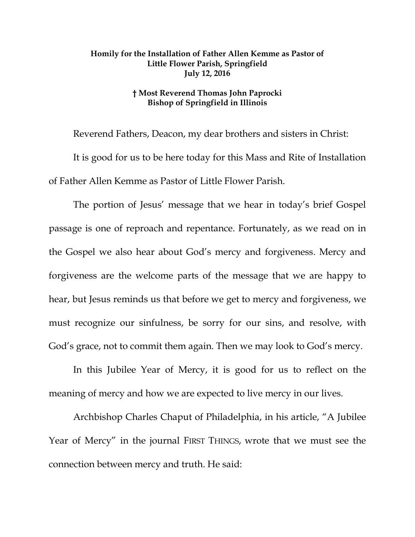## **Homily for the Installation of Father Allen Kemme as Pastor of Little Flower Parish, Springfield July 12, 2016**

## **† Most Reverend Thomas John Paprocki Bishop of Springfield in Illinois**

Reverend Fathers, Deacon, my dear brothers and sisters in Christ: It is good for us to be here today for this Mass and Rite of Installation of Father Allen Kemme as Pastor of Little Flower Parish.

The portion of Jesus' message that we hear in today's brief Gospel passage is one of reproach and repentance. Fortunately, as we read on in the Gospel we also hear about God's mercy and forgiveness. Mercy and forgiveness are the welcome parts of the message that we are happy to hear, but Jesus reminds us that before we get to mercy and forgiveness, we must recognize our sinfulness, be sorry for our sins, and resolve, with God's grace, not to commit them again. Then we may look to God's mercy.

In this Jubilee Year of Mercy, it is good for us to reflect on the meaning of mercy and how we are expected to live mercy in our lives.

Archbishop Charles Chaput of Philadelphia, in his article, "A Jubilee Year of Mercy" in the journal FIRST THINGS, wrote that we must see the connection between mercy and truth. He said: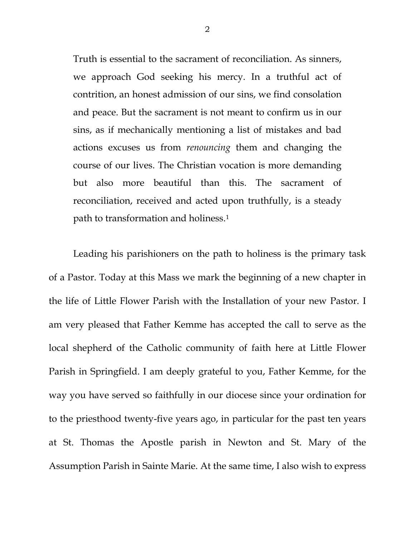Truth is essential to the sacrament of reconciliation. As sinners, we approach God seeking his mercy. In a truthful act of contrition, an honest admission of our sins, we find consolation and peace. But the sacrament is not meant to confirm us in our sins, as if mechanically mentioning a list of mistakes and bad actions excuses us from *renouncing* them and changing the course of our lives. The Christian vocation is more demanding but also more beautiful than this. The sacrament of reconciliation, received and acted upon truthfully, is a steady path to transformation and holiness[.1](#page-1-0)

<span id="page-1-1"></span><span id="page-1-0"></span>Leading his parishioners on the path to holiness is the primary task of a Pastor. Today at this Mass we mark the beginning of a new chapter in the life of Little Flower Parish with the Installation of your new Pastor. I am very pleased that Father Kemme has accepted the call to serve as the local shepherd of the Catholic community of faith here at Little Flower Parish in Springfield. I am deeply grateful to you, Father Kemme, for the way you have served so faithfully in our diocese since your ordination for to the priesthood twenty-five years ago, in particular for the past ten years at St. Thomas the Apostle parish in Newton and St. Mary of the Assumption Parish in Sainte Marie. At the same time, I also wish to express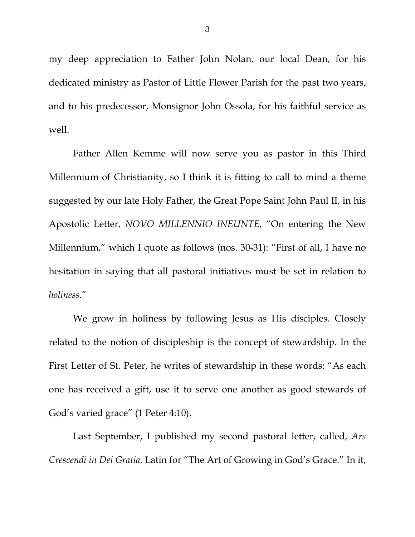my deep appreciation to Father John Nolan, our local Dean, for his dedicated ministry as Pastor of Little Flower Parish for the past two years, and to his predecessor, Monsignor John Ossola, for his faithful service as well.

Father Allen Kemme will now serve you as pastor in this Third Millennium of Christianity, so I think it is fitting to call to mind a theme suggested by our late Holy Father, the Great Pope Saint John Paul II, in his Apostolic Letter, *NOVO MILLENNIO INEUNTE*, "On entering the New Millennium," which I quote as follows (nos. 30-31): "First of all, I have no hesitation in saying that all pastoral initiatives must be set in relation to *holiness*."

We grow in holiness by following Jesus as His disciples. Closely related to the notion of discipleship is the concept of stewardship. In the First Letter of St. Peter, he writes of stewardship in these words: "As each one has received a gift, use it to serve one another as good stewards of God's varied grace" (1 Peter 4:10).

Last September, I published my second pastoral letter, called, *Ars Crescendi in Dei Gratia*, Latin for "The Art of Growing in God's Grace." In it,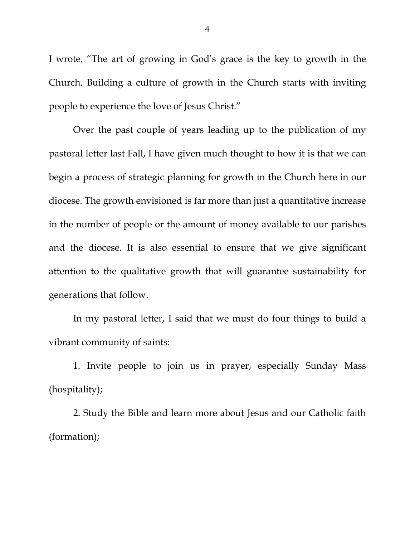I wrote, "The art of growing in God's grace is the key to growth in the Church. Building a culture of growth in the Church starts with inviting people to experience the love of Jesus Christ."

Over the past couple of years leading up to the publication of my pastoral letter last Fall, I have given much thought to how it is that we can begin a process of strategic planning for growth in the Church here in our diocese. The growth envisioned is far more than just a quantitative increase in the number of people or the amount of money available to our parishes and the diocese. It is also essential to ensure that we give significant attention to the qualitative growth that will guarantee sustainability for generations that follow.

In my pastoral letter, I said that we must do four things to build a vibrant community of saints:

1. Invite people to join us in prayer, especially Sunday Mass (hospitality);

2. Study the Bible and learn more about Jesus and our Catholic faith (formation);

4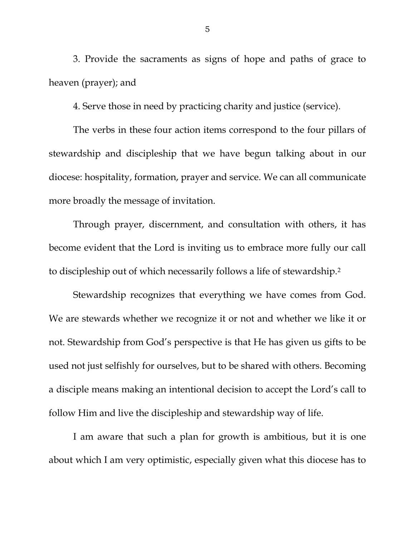3. Provide the sacraments as signs of hope and paths of grace to heaven (prayer); and

4. Serve those in need by practicing charity and justice (service).

The verbs in these four action items correspond to the four pillars of stewardship and discipleship that we have begun talking about in our diocese: hospitality, formation, prayer and service. We can all communicate more broadly the message of invitation.

Through prayer, discernment, and consultation with others, it has become evident that the Lord is inviting us to embrace more fully our call to discipleship out of which necessarily follows a life of stewardship.[2](#page-1-1) 

Stewardship recognizes that everything we have comes from God. We are stewards whether we recognize it or not and whether we like it or not. Stewardship from God's perspective is that He has given us gifts to be used not just selfishly for ourselves, but to be shared with others. Becoming a disciple means making an intentional decision to accept the Lord's call to follow Him and live the discipleship and stewardship way of life.

I am aware that such a plan for growth is ambitious, but it is one about which I am very optimistic, especially given what this diocese has to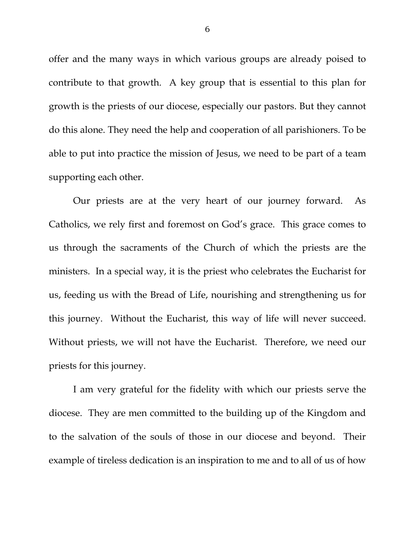offer and the many ways in which various groups are already poised to contribute to that growth. A key group that is essential to this plan for growth is the priests of our diocese, especially our pastors. But they cannot do this alone. They need the help and cooperation of all parishioners. To be able to put into practice the mission of Jesus, we need to be part of a team supporting each other.

Our priests are at the very heart of our journey forward. As Catholics, we rely first and foremost on God's grace. This grace comes to us through the sacraments of the Church of which the priests are the ministers. In a special way, it is the priest who celebrates the Eucharist for us, feeding us with the Bread of Life, nourishing and strengthening us for this journey. Without the Eucharist, this way of life will never succeed. Without priests, we will not have the Eucharist. Therefore, we need our priests for this journey.

I am very grateful for the fidelity with which our priests serve the diocese. They are men committed to the building up of the Kingdom and to the salvation of the souls of those in our diocese and beyond. Their example of tireless dedication is an inspiration to me and to all of us of how

6